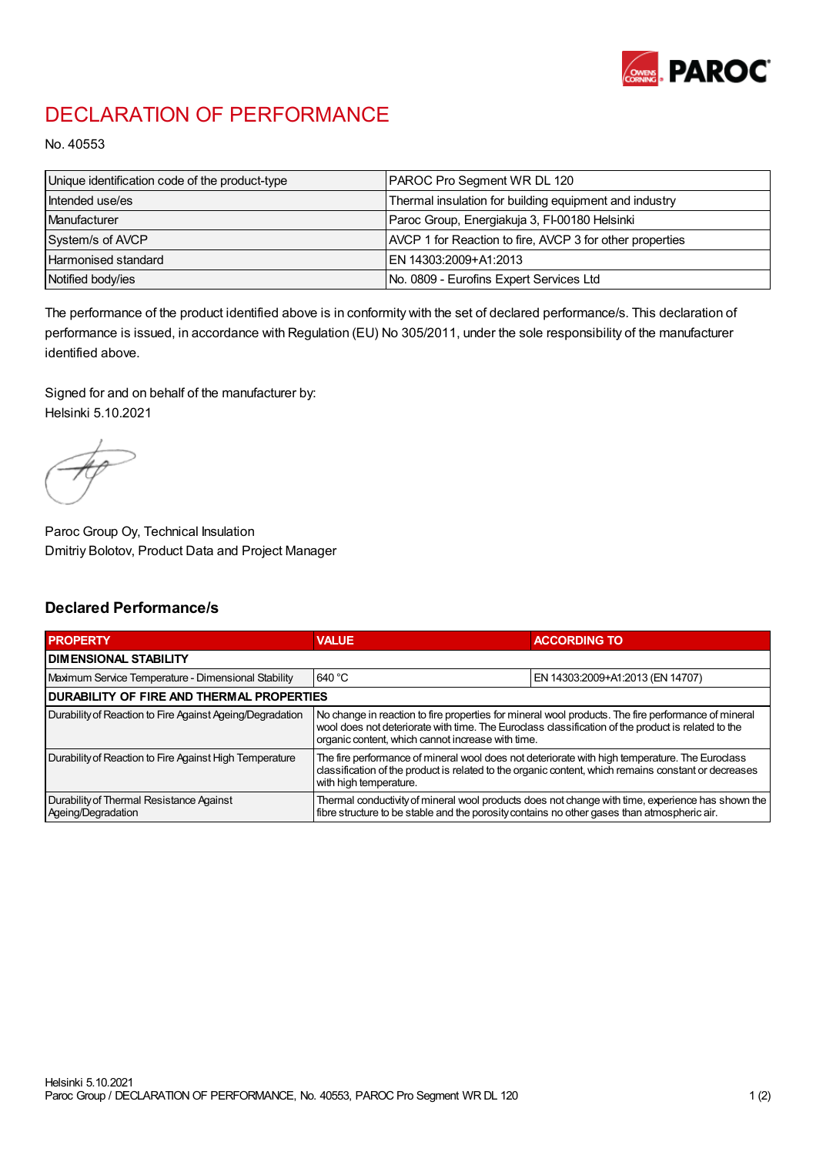

## DECLARATION OF PERFORMANCE

No. 40553

| Unique identification code of the product-type | <b>PAROC Pro Segment WR DL 120</b>                       |
|------------------------------------------------|----------------------------------------------------------|
| Intended use/es                                | Thermal insulation for building equipment and industry   |
| Manufacturer                                   | Paroc Group, Energiakuja 3, FI-00180 Helsinki            |
| System/s of AVCP                               | AVCP 1 for Reaction to fire, AVCP 3 for other properties |
| Harmonised standard                            | IEN 14303:2009+A1:2013                                   |
| Notified body/ies                              | No. 0809 - Eurofins Expert Services Ltd                  |

The performance of the product identified above is in conformity with the set of declared performance/s. This declaration of performance is issued, in accordance with Regulation (EU) No 305/2011, under the sole responsibility of the manufacturer identified above.

Signed for and on behalf of the manufacturer by: Helsinki 5.10.2021

Paroc Group Oy, Technical Insulation Dmitriy Bolotov, Product Data and Project Manager

## Declared Performance/s

| <b>PROPERTY</b>                                                | <b>VALUE</b>                                                                                                                                                                                                                                                   | <b>ACCORDING TO.</b>             |  |
|----------------------------------------------------------------|----------------------------------------------------------------------------------------------------------------------------------------------------------------------------------------------------------------------------------------------------------------|----------------------------------|--|
| <b>DIMENSIONAL STABILITY</b>                                   |                                                                                                                                                                                                                                                                |                                  |  |
| Maximum Service Temperature - Dimensional Stability            | 640 °C                                                                                                                                                                                                                                                         | EN 14303:2009+A1:2013 (EN 14707) |  |
| <b>DURABILITY OF FIRE AND THERMAL PROPERTIES</b>               |                                                                                                                                                                                                                                                                |                                  |  |
| Durability of Reaction to Fire Against Ageing/Degradation      | No change in reaction to fire properties for mineral wool products. The fire performance of mineral<br>wool does not deteriorate with time. The Euroclass classification of the product is related to the<br>organic content, which cannot increase with time. |                                  |  |
| Durability of Reaction to Fire Against High Temperature        | The fire performance of mineral wool does not deteriorate with high temperature. The Euroclass<br>classification of the product is related to the organic content, which remains constant or decreases<br>with high temperature.                               |                                  |  |
| Durability of Thermal Resistance Against<br>Ageing/Degradation | Thermal conductivity of mineral wool products does not change with time, experience has shown the<br>fibre structure to be stable and the porosity contains no other gases than atmospheric air.                                                               |                                  |  |